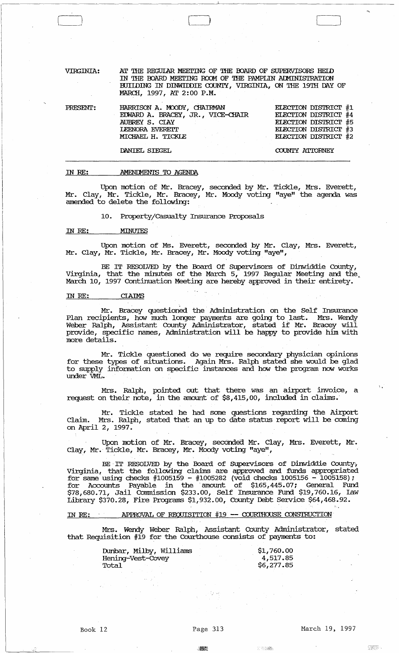VIRGINIA: PRESENT: AT THE REGULAR MEETING OF THE BOARD OF SUPERVISORS HELD IN THE BOARD MEETING ROOM OF THE PAMPLIN ADMINISTRATION BUILDING IN DINWIDDIE COUNTY, VIRGINIA, ON THE 19TH DAY OF MARCH, 1997, AT 2:00 P.M. HARRISON A. MJODY, CHAIRMAN EDWARD A. BRACEY, JR., VICE-CHAIR AUBREY S. ClAY IEENORA EVEREIT MICHAEL H. TICKIE ELECTION DISTRICT #1 ELECTION DISTRICT #4 ELECTION DISTRICT #5 ELECTION DISTRICT #3 EIECTION DISTRICT #2

DANIEL SIEGEL

COUNTY ATTORNEY

 $\overline{\phantom{0}}$ 

#### ill RE: AMENDMENTS TO AGENDA

Upon motion of Mr. Bracey, seconded by Mr. Tickle, Mrs. Everett, Mr. Clay, Mr. Tickle, Mr. Bracey, Mr. Moody voting "aye" the agenda was amended to delete the following:

10. Property/Casualty Insurance Proposals

### IN RE: MINUTES

 $\begin{pmatrix} \phantom{-} \end{pmatrix}$ 

Upon motion of Ms. Everett, seconded by Mr. Clay, Mrs. Everett, Mr. Clay, Mr. Tickle, Mr. Bracey, Mr. Moody voting "aye",

BE IT RESOLVED by the Board Of Supervisors of Dinwiddie County, Virginia, that the minutes of the March  $5$ , 1997 Regular Meeting and the March 10, 1997 Continuation Meeting are hereby approved in their entirety.

#### ill RE: CIAIMS

Mr. Bracey questioned the Administration on the Self Insurance Plan recipients, how much longer payments are going to last. Mrs. Wendy Weber Ralph, Assistant County Administrator, stated if Mr. Bracey will provide, specific names, Administration will be happy to provide him with more details.

Mr. Tickle questioned do we require secondary physician opinions for these types of situations. Again Mrs. Ralph stated she would be glad to supply infonnation on specific instances and how the program now works under VML.

Mrs. Ralph, pointed out that there was an airport invoice, a request on their note, in the amount of \$8,415,00, included in claims.'

Mr. Tickle stated he had some questions regarding the Airport Claim. Mrs. Ralph, stated that an up to date status report will be coming on April 2, 1997.

Upon motion of Mr. Bracey, seconded Mr. Clay, Mrs. Everett, Mr. Clay, Mr.' Tickle, Mr. Bracey, Mr. Moody voting "aye",

BE IT RESOLVED by the Board of Supervisors of Dinwiddie County; Virginia, that the following claims are approved and funds appropriated for same using checks #1005159 - #1005282 (void checks 1005156 - 1005158); for Accounts Payable in the 'amount of \$165,445.07; General Fund \$78,680.71, Jail Conunission \$233.00, Self Insurance Fund \$19,760.16, law Library \$370.28, Fire Programs \$1,932.00, County Debt Service \$64,468.92.

# IN RE: APPROVAL OF REQUISITION  $#19$  -- COURTHOUSE CONSTRUCTION

Mrs. Wendy Weber Ralph, Assistant County Administrator, stated that Requisition #19 for the Courthouse consists of payments to:

| Dunbar, Milby, Williams | \$1,760.00 |
|-------------------------|------------|
| Hening-Vest-Covey       | 4,517.85   |
| Total                   | \$6,277.85 |

e ver**z**i

燃熱

33687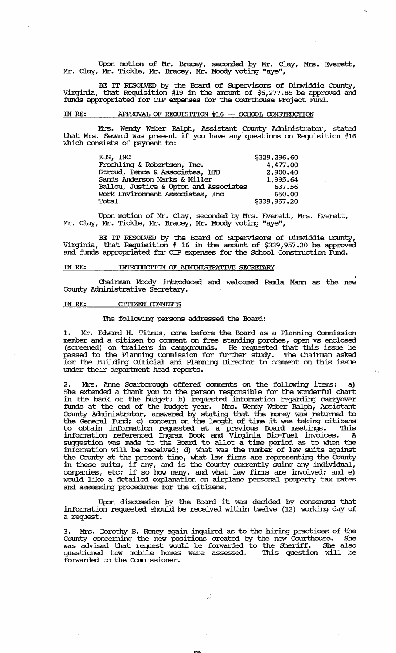Upon motion of Mr. Bracey, seconded by Mr. Clay, Mrs. Everett, Mr. Clay, Mr. Tickle, Mr. Bracey, Mr. Moody voting "aye",

BE IT RESOLVED by the Board of Supervisors of Dinwiddie County, Virginia, that Requisition #19 in the amount of \$6,277.85 be approved and funds appropriated for CIP expenses for the Courthouse Project Fund.

## IN RE: APPROVAL OF REQUISITION #16 -- SCHOOL CONSTRUCTION

Mrs. Wendy Weber Ralph, Assistant County Administrator, stated that Mrs. Seward was present if you have any" questions on Requisition #16 which consists of payment to:

| KBS, INC                               | \$329,296.60 |
|----------------------------------------|--------------|
| Froehling & Robertson, Inc.            | 4,477.00     |
| Stroud, Pence & Associates, IID        | 2,900.40     |
| Sands Anderson Marks & Miller          | 1,995.64     |
| Ballou, Justice & Upton and Associates | 637.56       |
| Work Environment Associates, Inc       | 650.00       |
| Total                                  | \$339,957.20 |

Upon motion of Mr. Clay, seconded by Mrs. Everett, Mrs. Everett, Mr. Clay, Mr. Tickle, Mr. Bracey, Mr. Moody voting "aye",

BE IT RESOLVED by the Board of Supervisors of Dinwiddie County, Virginia, that Requisition # 16 in the amount of \$339,957.20 be approved and funds appropriated for CIP expenses for the School Construction Fund.

#### IN RE: INTRODUCTION OF ADMINISTRATIVE SECRETARY

Chairman Moody introduced and welcomed Pamla Mann as the new County Administrative Secretary.

## IN RE: CITIZEN COMMENTS

## The following persons addressed the Board:

Mr. Edward H. Titmus, came before the Board as a Planning Commission member and a citizen to comment on free standing porches, open vs enclosed (screened) on trailers in campgrounds. He requested that this issue be passed to the Planning Commission for further study. The Chairman asked for the Building Official and Planning Director to comment on this issue under their department head reports.

 $\hat{V}_{\rm eq}$ 

2. Mrs. Anne Scarborough offered comments on the following items: a) She extended a thank you to the person responsible for the wonderful chart in the back of the budget; b) requested information regarding carryover funds at the end of the budget year. Mrs. Wendy Weber Ralph, Assistant County Administrator, answered by stating that the money was returned to the General Fund; c) concern on the length of time it was taking citizens to obtain information requested at a previous Board meetings. This infonnation referenced Ingram Book and Virginia Bio-Fuel invoices. A suggestion was made to the Board to allot a time period as to when the infonnation will be received; d) what was the number of law suits against the County at the present time, what law finns are representing the county in these suits, if any, and is the County currently suing any individual, companies, etc; if so how many, and what law finns are involved; and e) would like a detailed explanation on airplane personal property tax rates and assessing procedures for the citizens.

Upon discussion by the Board it was decided by consensus that infonnation requested should be received within twelve (12) working day of a request.

3. Mrs. Dorothy B. Roney again inquired as to the hiring practices of the County concerning the new positions created by the new Courthouse. She was advised that request would be forwarded to the Sheriff. She also questioned how mobile homes were assessed. '!his question will be forwarded to the Commissioner.

35

."""""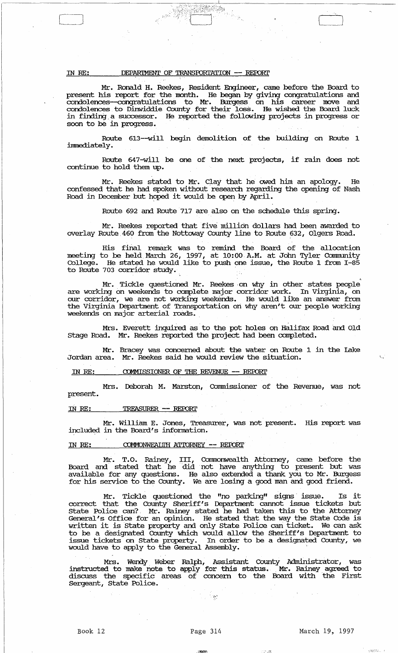## IN RE: DEPARIMENT OF TRANSPORTATION -- REPORT

C]

Mr. Ronald H. Reekes, Resident Engineer, came before the Board to present his report for the month. He began by giving congratulations and condolences-congratulations to Mr. Burgess on his career move and condolences to Dinwiddie County for their loss. He wished the Board luck in finding, a successor. He reported the following projects in progress or soon to be in progress.

74

Route 613--will begin demolition of the building on Route 1 immediately.

Route 647-will be one of the next projects, if rain does not continue to hold them up.

Mr. Reekes stated to Mr. Clay that he owed hini an apology. He confessed that he had spoken without research regarding the opening of Nash Road in December but hoped it would be open by April.

Route 692 and Route 717 are also on the schedule this spring.

Mr. Reekes reported that five million dollars had been awarded to overlay Route. 460 from the Nottoway County line to Route 632, Olgers Road.

His final remark was to remind the Board of the allocation meeting to be held. March 26, 1997, at 10:00 A.M. at John Tyler Community College. He stated he would like to push one issue, the Route 1 from 1-85 to Route 703 corridor study.

Mr. Tickle questioned Mr. Reekes on why in other states people are working on weekends to complete major corridor work. In Virginia, on our corridor, we are not working Weekends. He would like an answer from the Virginia. Department of Transportation on why aren't our people working weekends on major arterial roads. .

Mrs. Everett inquired as to the pot holes on Halifax Road and Old stage Road. Mr. Reekes reported the project had been completed.

Mr. Bracey was concerned about the water on Route 1 in the lake Jordan area. Mr. Reekes said he would review the situation.

IN *RE:*  COMMISSIONER OF THE REVENUE -- REPORT

present. Mrs. Deborah M. Marston, Connnissioner of the Revenue, was not

#### IN *RE:*  TREASURER -- REPORT

Mr. William E. Jones, Treasurer, was not present. His report was included in the Board's information.

#### IN RE: COMMONWEALTH ATTORNEY -- REPORT

Mr. T.O. Rainey, III, Commonwealth Attorney, came before the Board and stated that he did not have anything to present but was available for any questions. He also extended a thank you to Mr. Burgess for his service to the County. We are losing a good man and good friend.

Mr. Tickle questioned the "no parking" signs' issue. Is it correct that the County Sheriff's Department cannot issue tickets but state Police can? Mr. Rainey stated he had taken this to the Attorney General's Office for an opinion. He stated that the way the state Code is written it is state property and only state Police can ticket. We can ask to be a designated County which would allow the Sheriff's Department to issue tickets on state property. In order to be a designated County, we would have to apply to the General Assembly. '

Mrs. wendy. Weber Ralph, Assistant County Administrator, was instructed to make note to apply for this status. Mr. Rainey agreed to discuss the specific areas of concern to the Board with the First Sergeant, state Police.

.<br>Siya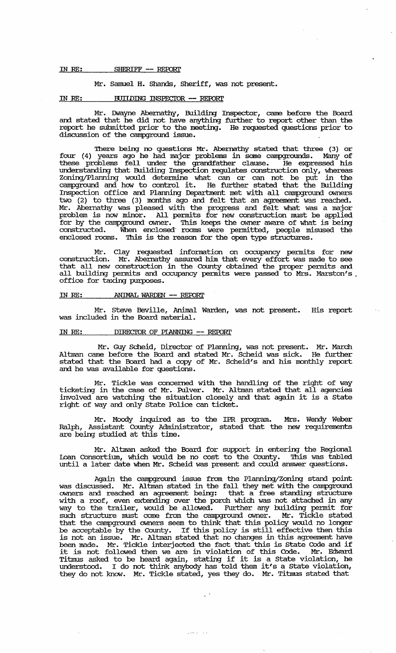#### IN RE: SHERIFF -- REPORT

### Mr. Samuel H. Shands, Sheriff, was not present.

## IN RE: BUIIDING INSPECTOR -- REPORT

Mr. IMayne Abernathy, Building Inspector, came before the Board and stated that he did not have anything further to report other than the report he submitted prior to the meeting. He requested questions prior to discussion of the campground issue.

'Ihere being no questions Mr. Abernathy stated that three (3) or four (4) years ago he had major problems in some campgrounds. Many of these problems fell under the grandfather clause. He expressed his understanding that Building Inspection regulates construction only, whereas Zoning/Planning would detennine what can or can not be put in the campground and how to control it. He further stated that the Building Inspection office and Planning Department met with all campground owners two (2) to three (3) months ago and felt that an agreement was reached. Mr. Abernathy was pleased with the progress and felt what was a major problem is now minor. All pennits for new construction must be applied for by the campground owner. This keeps the owner aware of what is being constructed. When enclosed- rooms were pennitted, people misused the enclosed rooms. This is the reason for the open type structures.

Mr. Clay requested infonnation on occupancy pennits for new construction. Mr. Abernathy assured him that every effort was made to see that all new construction in the County obtained the proper pennits and all building pennits and occupancy pennits were passed to Mrs. Marston's. office for taxing purposes.

### IN RE: ANIMAL WARDEN -- REPORT

Mr. Steve Beville, Animal Warden, was not present. His report was included in the Board material.

#### IN RE: DIRECTOR OF PIANNING -- REPORT

Mr. Guy Scheid, Director of Planning, was not present. Mr. March Altman came before the Board and stated Mr. Scheid was sick. He further stated that the Board. had a copy of Mr. Scheid's and his monthly report and he was available for questions.

Mr. Tickle was concerned with the handling of the right of way ticketing in the case of Mr • Pulver. Mr. Altman stated that all agencies involved are watching the situation closely and that again it is a state right of way and only state Police can ticket.

Mr. Moody inquired as to the IPR program. Mrs. Wendy Weber Ralph, Assistant County Administrator, stated that the new requirements are being studied at this time.

Mr. Altman asked the Board. for support in entering the Regional loan Consortium, which would be no cost to the County. '!his was tabled until a later date when Mr. Scheid was present and could answer questions.

Again the campground. issue from the Planning/Zoning stand point was discussed. Mr. Altman stated in the fall they met with the campground owners and reached an agreement being: that a free standing structure with a roof, even extending over the porch which was not attached in any way to the trailer, would be allowed. Further any building permit for such structure must come from the campground. owner. Mr. Tickle stated that the campground. owners seem to think that this policy would no longer that the compyround owners seem to think that this policy would no forget<br>be acceptable by the County. If this policy is still effective then this is not an issue. Mr. Altman stated that no changes in this agreement have been made. Mr. Tickle interjected the fact that this is state Code and if been made. Mr. Tickle interjected the ract that this is state Code and if<br>it is not followed then we are in violation of this Code. Mr. Edward Titmus asked to be heard again, stating if it is a State violation, he und.erstood. I do not think anybody has told them it's a state violation, they do not know. Mr. Tickle stated, yes they do. Mr. Titmus stated that

الدالدان المتحسني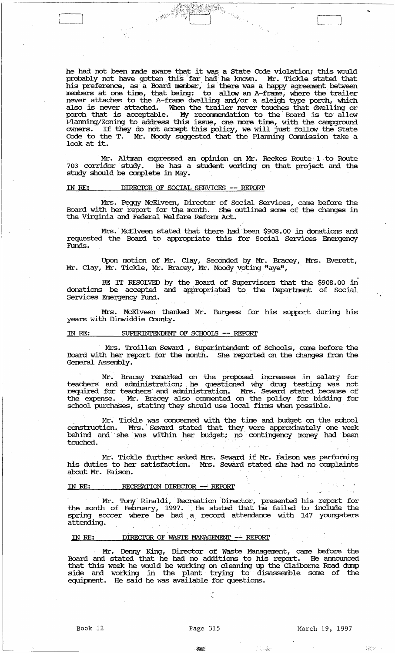he had not been made aware that it was a state Code violation; this would probably not have gotten this far had he known. Mr. Tickle stated that his preference, as a Board member, is there was a happy agreement between members at one time, that being: to allow an A-frame, where the trailer never attaches to the A-frame dwelling and/or a sleigh type porch, which also is never attached. When the trailer never touches that dwelling or porch that is acceptable. My recommendation to the Board is to allow Planning/Zoning to address this issue, one more time, with the campground owners. If they do not accept this policy, we will just follow the State Code to the T. Mr. Moody suggested that the Planning cOmmission take a  $\frac{1}{2}$  and  $\frac{1}{2}$ . The  $\frac{1}{2}$  and  $\frac{1}{2}$  and  $\frac{1}{2}$  and  $\frac{1}{2}$  and  $\frac{1}{2}$  and  $\frac{1}{2}$  and  $\frac{1}{2}$  and  $\frac{1}{2}$  and  $\frac{1}{2}$  and  $\frac{1}{2}$  and  $\frac{1}{2}$  and  $\frac{1}{2}$  and  $\frac{1}{2}$  and  $\frac{1}{2}$ 

Mr. Altman expressed an opinion on Mr. Reekes Route 1 to Route 703 corridor study. He has a student working on that project and the study should be complete in May.

## IN RE: DIRECTOR OF SOCIAL SERVICES -- REPORT

 $\begin{pmatrix} 1 & 1 \\ 1 & 1 \end{pmatrix}$ 

Mrs. Peggy McElveen, Director of Social Services, came before the Board with her report for the month. She outlined some of the changes in the Virginia and Federal Welfare Reform Act.

Mrs. McElveen stated that there had been \$908.00 in donations and requested the Board to appropriate this for Social Services Emergency Funds.

Upon motion of Mr. Clay, Seconded by Mr. Bracey, Mrs. Everett, Mr. Clay, Mr. Tickle, Mr. Bracey, Mr. Moody voting "aye",

BE IT RESOLVED by the Board of Supervisors that the \$908.00 in donations be accepted and appropriated to, the Department of Social Services Emergency Fund.

Mrs. McElveen tharlked Mr'. Burgess for his support during his years with Dinwiddie County.

## IN RE: SUPERINTENDENT OF SCHOOLS -- REPORT

Mrs. Troillen Seward, Superintendent of Schools, came before the Board with her report for the month. She reported on the changes fram the General Assembly.

Mr. Bracey remarked on the proposed increases in salary for teachers and administration; he questioned why drug testing was not required for teachers' and administration.' Mrs. Seward stated because of the expense. Mr. Bracey also commented on the policy for bidding for school purchases, stating they should use local firms when possible.

Mr. Tickle was concerned with the time and budget on the school construction. Mrs. Seward stated that they were approximately one week behind and' she 'was within her budget; no eontingency money had' been touched.

Mr. Tickle further asked Mrs. Seward if Mr. Faison was perforining his duties to her satisfaction. Mrs. Seward stated she had no complaints about Mr. Faison.

## IN RE: RECREATION DIRECIOR -- REPORT

Mr. Tony Rinaldi, Recreation Director, presented his report for the month of February, 1997. 'He stated that he failed to include the spring soccer where he had a record attendance with 147 youngsters attending.

## IN RE: DIRECTOR OF WASTE MANAGEMENT -- REPORT

Mr. Denny King, Director of Waste Management, came before the Board and stated that he had no additions to his report. He announced that this week he would be working on cleaning up the Claiborne Road dump side and working in the plant trying to disassemble some of the equipment. He said he was available 'for questions.

Č.

그리 모춧

**TAR** 

ang pa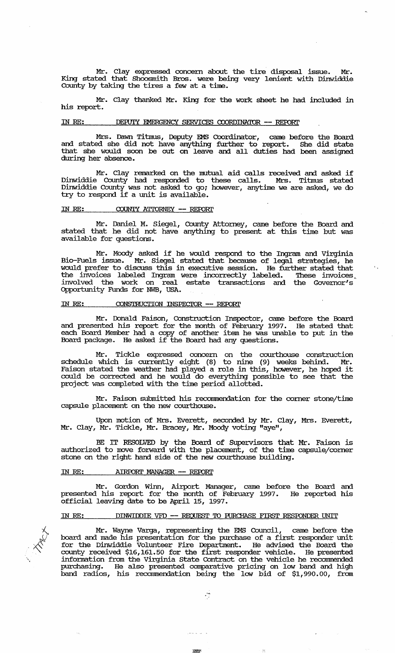Mr. Clay expressed concern about the tire disposal issue. Mr. King stated that Shoosmith Bros. were being very lenient with Dinwiddie County by taking the tires a few at a time.

Mr. Clay thanked Mr. King for the work sheet he had included in his report.

## IN RE: DEPUIY EMERGENCY SERVICES COORDINATOR -- REPORT

Mrs. Dawn Titmus, Deputy EMS Coordinator, came before the Board and stated she did not have anything further to report. She did state that she would soon be out on leave and. all duties had been assigned during her absence.

Mr. Clay remarked on the mutual aid calls received and asked if Dinwiddie County had responded to these calls. Mrs. Titmus stated Dinwiddie County was not asked to go; however, anytime we are asked, we do try to respond if a unit is available.

### IN RE: COUNTY ATTORNEY -- REPORT

Mr. Daniel M. siegel, County Attorney, came before the Board and stated that he did not have anything to present at this time but was available for questions.

Mr. Moody asked if he would respond to the Ingram and Virginia Bio-Fuels issue. Mr. Siegel stated that because of legal strategies, he would prefer to discuss this in executive session. He further stated that the invoices labeled Ingram were incorrectly labeled. These invoices involved the work on real estate transactions and the Governor's Opportunity Funds for NWB, USA.

 $\Lambda_{\rm{tot}}$ 

## IN RE: **CONSTRUCTION INSPECTOR -- REPORT**

Mr. Donald Faison, Construction Inspector, came before the Board and presented his report for the month of February 1997. He stated that each Board Member had a copy of another item he was unable to put in the Board package. He asked if the Board had any questions.

Mr. Tickle expressed concern on the courthouse construction schedule which is currently eight (8) to nine (9) weeks behind. Mr. Faison stated the weather had played a role in this, however, he hoped it could be corrected and he would do everything possible to see that the project was completed with the time period allotted.

Mr. Faison submitted his recommendation for the corner stone/time capsule placement on the new courthouse.

Upon motion of Mrs. Everett, seconded by Mr. Clay, Mrs. Everett, Mr. Clay, Mr. Tickle, Mr. Bracey, Mr. Moody voting "aye",

BE IT RESOLVED by the Board of Supervisors that Mr. Faison is authorized to move forward with the placement, of the time capsule/corner stone on the right hand side of the new courthouse building.

#### IN RE: **AIRPORT MANAGER -- REPORT**

Mr. Gordon Winn, Airport Manager, came before the Board and presented his report for the month of February 1997. He reported his official leaving date to be April 15, 1997.

## IN RE: DINWIDDIE VFD -- REQUEST TO PURCHASE FIRST RESPONDER UNIT



Mr. Wayne Varga, representing the EMS Council, came before the board and made his presentation for the purchase of a first responder unit for the Dinwiddie Volunteer Fire Department. He advised the Board the county received \$16,161.50 for the first responder vehicle. He presented information from the Virginia State Contract on the vehicle he recommended purchasing. He also presented comparative pricing on low band and high band radios, his recarnmendation being the low bid of \$1,990.00, from

;~

لداريد بديدر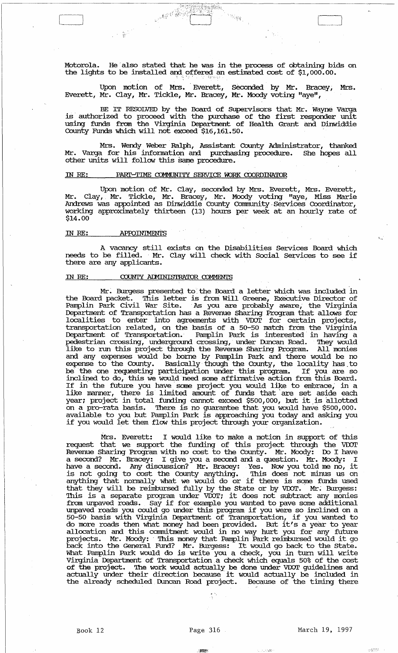Motorola. He also stated that he was in the process of obtaining bids on the lights to be installed and offered an estimated cost of  $$1,000.00$ .

**League Co** 

Upon motion of Mrs. Everett, Seconded by Mr. Bracey, Mrs. Everett, Mr. Clay, Mr. Tickle, Mr. Bracey, Mr. Moody voting "aye",

BE IT RESOLVED by the Board of Supervisors that Mr. Wayne Varga is authorized to proceed with the purchase of the first responder unit using funds from the Virginia Department of Health Grant and Dinwiddie County Funds which will not exceed \$16,161. 50. .

Mrs. Wendy Weber Ralph, Assistant County Administrator, thanked Mr. Varga for his information and purchasing procedure. She hopes all other units will follow this same procedure.

## IN RE: PART-TIME COMMUNITY SERVICE WORK COORDINATOR

Upon motion of Mr. Clay, seconded by Mrs. Everett, Mrs. Everett, Mr. Clay,. Mr. Tickle, Mr. Bracey, Mr. Moody voting "aye, Miss Marie Andrews was appointed as Dinwiddie County Cornrmmity. Services Coordinator, working approximately thirteen (13) hours per week at an hourly rate of \$14.00

#### IN *RE:*  **APPOINTMENTS**

A vacancy still exists on the Disabilities Services Board which<br>needs to be filled. Mr. Clay will check with Social Services to see if there are any applicants.

#### COUNTY ADMINISTRATOR COMMENTS ill *RE:*

 $\label{eq:2.1} \begin{array}{c} \frac{1}{\sqrt{2\pi}}\, \frac{1}{\sqrt{2\pi}}\, \frac{1}{\sqrt{2\pi}}\, \frac{1}{\sqrt{2\pi}}\, \frac{1}{\sqrt{2\pi}}\, \frac{1}{\sqrt{2\pi}}\, \frac{1}{\sqrt{2\pi}}\, \frac{1}{\sqrt{2\pi}}\, \frac{1}{\sqrt{2\pi}}\, \frac{1}{\sqrt{2\pi}}\, \frac{1}{\sqrt{2\pi}}\, \frac{1}{\sqrt{2\pi}}\, \frac{1}{\sqrt{2\pi}}\, \frac{1}{\sqrt{2\pi}}\, \frac{1}{\sqrt{$ 

Mr. Burgess presented to the Board a letter which was included in the Board packet. This letter is from Will Greene, Executive Director of Panplin Park Civil War site. . As you are probably aware, the Virginia Department of Transportation has a Revenue Sharing Program that allows for localities to enter into agreements with VDOT for certain projects, transportation related, on the basis of a 50-50 match from the Virginia Deparbnent of Transportation.' Panplin Park is interested' in having a pedestrian crossing, underground crossing, under Duncan Road. They would like to run this project through the Revenue Sharing Program. All monies and any expenses would be borne by Panplin Park and there would be no expense to the County. Basically though the County, the locality has to be the one requesting participation under this program. If you are so be the one requesting participation under this program. If you are so inclined to do, this we would need some affirmative action from this Board. Inclined to do, this we would need some diffinitive decident from this bodie.<br>If in the future you have some project you would like to embrace, in a like manner, there is limited amount of funds that are set aside each The manner, there is inflicted allothe of funds that are set aside each<br>year; project in total funding cannot exceed \$500,000, but it is allotted on a pro-rata basis. '!here is no guarantee that you would have \$500,000. available to you but Panplin Park is approaching you today and asking you available to you but ramplin raik is approaching you today and as<br>if you would let them flow this project through your organization.

Mrs. Everett: I would like to make a motion in support of this request that we support the funding of this project through the VDOT Revenue Sharing Program with no cost to the County. Mr. Moody: Do I have a second? Mr. Bracey: I give you a second and a question. Mr. Moody: I have a second. Any discussion? Mr. Bracey: Yes. Now you told me no, it is not going to cost the County anything. This does not minus us on Is not yoing to cost the county anything. This does not hunds us on<br>anything that normally what we would do or if there is some funds used that they will be reimbursed fully by the State or by VDOT. Mr. Burgess: This is a separate program under VDOT; it does not subtract any monies from unpaved roads. Say if for example you wanted to pave some additional unpaved roads you could go unde:t this program if you were so inclined on a 50-50 basis with Virginia Deparbnent of Transportation, if you wanted to do more roads then what money had been provided. But it's a year to year allocation and this commitment would in no way hurt you for any future projects. Mr. Moody: ' 'Ibis money that Panplin Park reimbursed would it go back into the General Fund? Mr. Burgess: It would go back to the state. What Panplin Park would do is write you a check, you in turn will write Virginia Deparbnent of Transportation. a check which equals 50% of the cost of the project. The work would actually be done under VDOT guidelines and actually under their direction because it would actually be included in the already scheduled Duncan Road project. Because of the timing there

.:~

I.,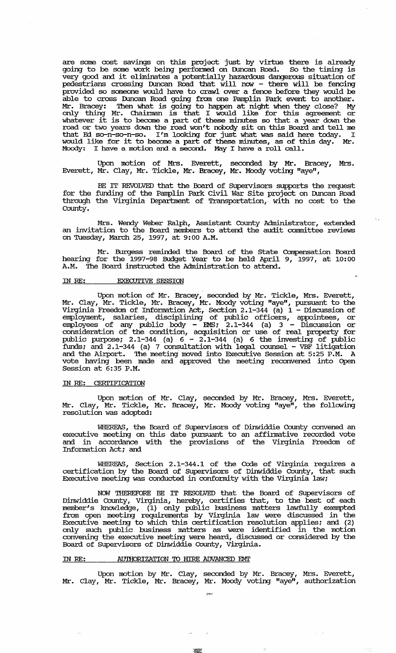are some cost savings on this project just by virtue there is already going to be some work being performed on Duncan Road. So the timing is very good and it eliminates a potentially hazardous dangerous situation of pedestrians crossing Duncan Road that will now - there will be fencing provided so someone would have to crawl over a fence before they would be able to cross Duncan Road going from one Pamplin Park event to another. Mr. Bracey: Then what is going to happen at night when they close? My only thing Mr. Chainnan is that I would like for this agreement or whatever it is to become a part of these minutes so that a year down the mattever it is to become a part of these mindtes so that a year down the that Ed so-n-so-n-so. I'm looking for just what was said here today. I would like for it to become a part of these minutes, as of this day. Mr. Moody: I have a motion and a second. May I have a roll call.

Upon motion of Mrs. Everett, seconded by Mr. Bracey, Mrs. Everett, Mr. Clay, Mr. Tickle, Mr. Bracey, Mr. Moody voting "aye",

BE IT REVOLVED that the Board of Supervisors supports the request for the funding of the Pamplin Park Civil War Site project on Duncan Road through the Virginia Department of Transportation, with no cost to the County.

Mrs. wendy Weber Ralph, Assistant County Administrator, extended an invitation to the Board members to attend the audit committee reviews on Tuesday, March 25, 1997, at 9: 00 A.M.

Mr. Burgess reminded the Board of the State Compensation Board hearing for the 1997-98 Budget Year to be held April 9, 1997, at 10:00 A.M. The Board instructed the Administration to attend.

#### IN RE: EXECUTIVE SESSION

Upon motion of Mr. Bracey, seconded by Mr. Tickle, Mrs. Everett, Mr. Clay, Mr. Tickle, Mr. Bracey, Mr. Moody voting "aye", pursuant to the Virginia Freedom of Information Act, Section 2.1-344 (a)  $1 -$  Discussion of employment, salaries, disciplining of public officers, appointees, or enployees of any public body - EMS; 2.1-344 (a) 3 - Discussion or consideration of the condition, acquisition or use of real property for public purpose; 2.1-344 (a)  $6 - 2.1 - 344$  (a) 6 the investing of public funds; and  $2.1-344$  (a) 7 consultation with legal counsel - VBF litigation and the Airport. The meeting moved into Executive Session at 5:25 P.M. A vote having been made and approved the meeting reconvened into Open Session at 6:35 P.M.

### IN RE: CERI'IFICATION

Upon motion of Mr. Clay, seconded by Mr. Bracey, Mrs. Everett, Mr. Clay, Mr. Tickle, Mr. Bracey, Mr. Moody voting "aye", the following resolution was adopted:

WHEREAS, the Board of Supervisors of Dinwiddie County convened an executive meeting on this date pursuant to an affinnative recorded vote and in accordance with the provisions of the Virginia Freedom of Information Act; and

WHEREAS, Section 2.1-344.1 of the Code of Virginia requires a certification by the Board of Supervisors of Dinwiddie County, that such Executive meeting was conducted in confonnity with the Virginia law;

NCM THEREFORE BE IT RESOLVED that the Board of SUpervisors of Dinwiddie County, Virginia, hereby, certifies that, to the best of each member's lmowledge, (1) only public business matters lawfully exempted from open meeting requirements by Virginia law were discussed in the Executive meeting to which this certification resolution applies; and (2) only such public business matters as were identified in the motion convening the executive meeting were heard, discussed or considered by the Board of Supervisors of Dinwiddie County, Virginia.

#### IN RE: AUTHORIZATION TO HIRE ADVANCED EMP

Upon motion by Mr. Clay, seconded by Mr. Bracey, Mrs. Everett, Mr. Clay, Mr. Tickle, Mr. Bracey, Mr. Moody voting "aye", authorization

:~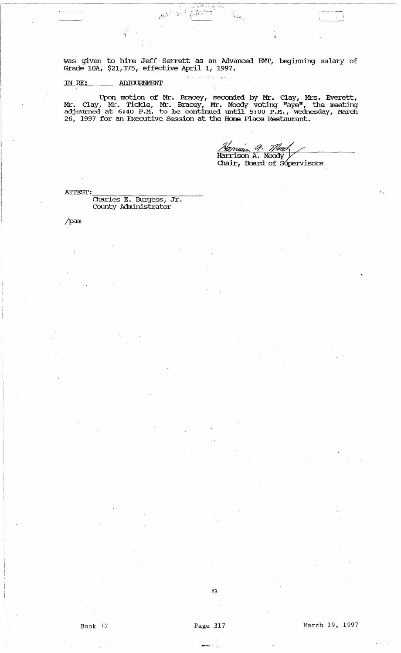was given to hire Jeff' Serrett as an Advanced EMI', begirming salary of Grade lOA, \$21,375, effective April 1, 1997.

"

 $\widetilde{\mathfrak{g}}$  ,  $\widetilde{\mathfrak{g}}$  ,  $\widetilde{\mathfrak{g}}$  ,  $\widetilde{\mathfrak{g}}$  ,  $\widetilde{\mathfrak{g}}$ 

 $\left\langle \mathbf{r}\right\rangle _{0}$ 

 $\hat{\beta}$  in

 $\mathcal{C}(\mathcal{U}^{\text{c}}_1) \cong \mathcal{C}(\mathcal{S}^{\text{c}})$ 

 $\frac{1}{2} \log \frac{1}{\epsilon}$ 

#### ADJOURNMENT ill RE:

ı.

Upon motion of Mr. Bracey, seconded by Mr. Clay, Mrs. Everett, Mr. Clay, Mr. Tickle, Mr., Bracey, Mr. Moody voting "aye", the meeting adjourned at 6:40 P.M. to be continued until 5:00 P.M., Wednesday, March 26, 1997 for an Executive session at the Home Place Restaurant.

Ą. <u>Atman 9. *Illea*n</u><br>Harrison A. Moody 7/træ Chair, Board of Supervisors

i.

ATTEST:<br>Charles E. Burgess, Jr. County Administrator

/pam

' ........